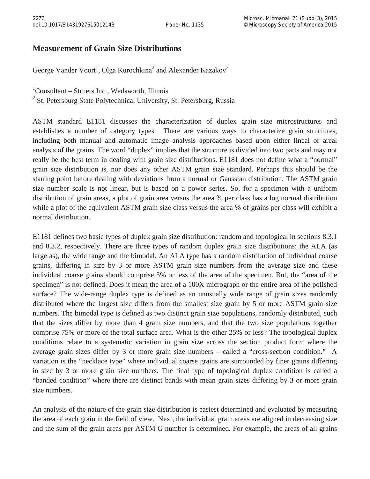## **Measurement of Grain Size Distributions**

George Vander Voort<sup>1</sup>, Olga Kurochkina<sup>2</sup> and Alexander Kazakov<sup>2</sup>

1 Consultant – Struers Inc., Wadsworth, Illinois

<sup>2</sup> St. Petersburg State Polytechnical University, St. Petersburg, Russia

ASTM standard E1181 discusses the characterization of duplex grain size microstructures and establishes a number of category types. There are various ways to characterize grain structures, including both manual and automatic image analysis approaches based upon either lineal or areal analysis of the grains. The word "duplex" implies that the structure is divided into two parts and may not really be the best term in dealing with grain size distributions. E1181 does not define what a "normal" grain size distribution is, nor does any other ASTM grain size standard. Perhaps this should be the starting point before dealing with deviations from a normal or Gaussian distribution. The ASTM grain size number scale is not linear, but is based on a power series. So, for a specimen with a uniform distribution of grain areas, a plot of grain area versus the area % per class has a log normal distribution while a plot of the equivalent ASTM grain size class versus the area % of grains per class will exhibit a normal distribution.

E1181 defines two basic types of duplex grain size distribution: random and topological in sections 8.3.1 and 8.3.2, respectively. There are three types of random duplex grain size distributions: the ALA (as large as), the wide range and the bimodal. An ALA type has a random distribution of individual coarse grains, differing in size by 3 or more ASTM grain size numbers from the average size and these individual coarse grains should comprise 5% or less of the area of the specimen. But, the "area of the specimen" is not defined. Does it mean the area of a 100X micrograph or the entire area of the polished surface? The wide-range duplex type is defined as an unusually wide range of grain sizes randomly distributed where the largest size differs from the smallest size grain by 5 or more ASTM grain size numbers. The bimodal type is defined as two distinct grain size populations, randomly distributed, such that the sizes differ by more than 4 grain size numbers, and that the two size populations together comprise 75% or more of the total surface area. What is the other 25% or less? The topological duplex conditions relate to a systematic variation in grain size across the section product form where the average grain sizes differ by 3 or more grain size numbers – called a "cross-section condition." A variation is the "necklace type" where individual coarse grains are surrounded by finer grains differing in size by 3 or more grain size numbers. The final type of topological duplex condition is called a "banded condition" where there are distinct bands with mean grain sizes differing by 3 or more grain size numbers.

An analysis of the nature of the grain size distribution is easiest determined and evaluated by measuring the area of each grain in the field of view. Next, the individual grain areas are aligned in decreasing size and the sum of the grain areas per ASTM G number is determined. For example, the areas of all grains